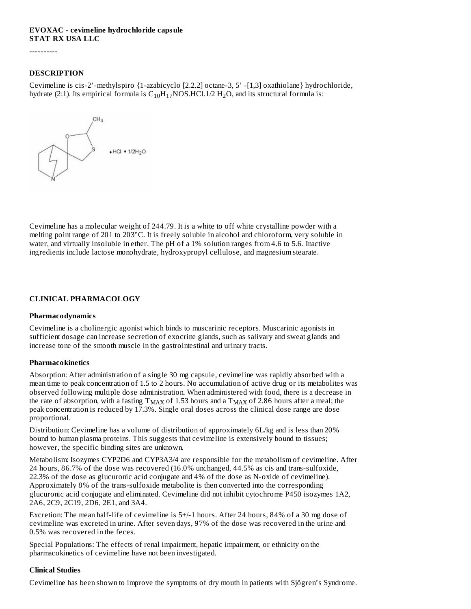#### **EVOXAC - cevimeline hydrochloride capsule STAT RX USA LLC**

----------

## **DESCRIPTION**

Cevimeline is cis-2'-methylspiro {1-azabicyclo [2.2.2] octane-3, 5' -[1,3] oxathiolane} hydrochloride, hydrate (2:1). Its empirical formula is  $C_{10}H_{17}NOS.HCl.1/2~H_2O$ , and its structural formula is:



Cevimeline has a molecular weight of 244.79. It is a white to off white crystalline powder with a melting point range of 201 to 203°C. It is freely soluble in alcohol and chloroform, very soluble in water, and virtually insoluble in ether. The pH of a 1% solution ranges from 4.6 to 5.6. Inactive ingredients include lactose monohydrate, hydroxypropyl cellulose, and magnesium stearate.

## **CLINICAL PHARMACOLOGY**

#### **Pharmacodynamics**

Cevimeline is a cholinergic agonist which binds to muscarinic receptors. Muscarinic agonists in sufficient dosage can increase secretion of exocrine glands, such as salivary and sweat glands and increase tone of the smooth muscle in the gastrointestinal and urinary tracts.

#### **Pharmacokinetics**

Absorption: After administration of a single 30 mg capsule, cevimeline was rapidly absorbed with a mean time to peak concentration of 1.5 to 2 hours. No accumulation of active drug or its metabolites was observed following multiple dose administration. When administered with food, there is a decrease in the rate of absorption, with a fasting  $\rm T_{MAX}$  of 1.53 hours and a  $\rm T_{MAX}$  of 2.86 hours after a meal; the peak concentration is reduced by 17.3%. Single oral doses across the clinical dose range are dose proportional.

Distribution: Cevimeline has a volume of distribution of approximately 6L/kg and is less than 20% bound to human plasma proteins. This suggests that cevimeline is extensively bound to tissues; however, the specific binding sites are unknown.

Metabolism: Isozymes CYP2D6 and CYP3A3/4 are responsible for the metabolism of cevimeline. After 24 hours, 86.7% of the dose was recovered (16.0% unchanged, 44.5% as cis and trans-sulfoxide, 22.3% of the dose as glucuronic acid conjugate and 4% of the dose as N-oxide of cevimeline). Approximately 8% of the trans-sulfoxide metabolite is then converted into the corresponding glucuronic acid conjugate and eliminated. Cevimeline did not inhibit cytochrome P450 isozymes 1A2, 2A6, 2C9, 2C19, 2D6, 2E1, and 3A4.

Excretion: The mean half-life of cevimeline is 5+/-1 hours. After 24 hours, 84% of a 30 mg dose of cevimeline was excreted in urine. After seven days, 97% of the dose was recovered in the urine and 0.5% was recovered in the feces.

Special Populations: The effects of renal impairment, hepatic impairment, or ethnicity on the pharmacokinetics of cevimeline have not been investigated.

#### **Clinical Studies**

Cevimeline has been shown to improve the symptoms of dry mouth in patients with Sjögren's Syndrome.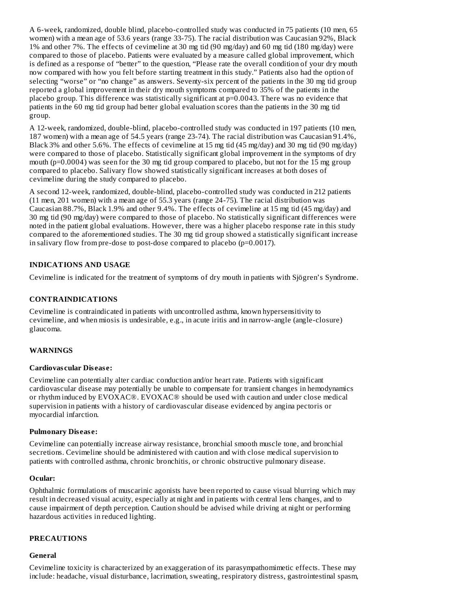A 6-week, randomized, double blind, placebo-controlled study was conducted in 75 patients (10 men, 65 women) with a mean age of 53.6 years (range 33-75). The racial distribution was Caucasian 92%, Black 1% and other 7%. The effects of cevimeline at 30 mg tid (90 mg/day) and 60 mg tid (180 mg/day) were compared to those of placebo. Patients were evaluated by a measure called global improvement, which is defined as a response of "better" to the question, "Please rate the overall condition of your dry mouth now compared with how you felt before starting treatment in this study." Patients also had the option of selecting "worse" or "no change" as answers. Seventy-six percent of the patients in the 30 mg tid group reported a global improvement in their dry mouth symptoms compared to 35% of the patients in the placebo group. This difference was statistically significant at p=0.0043. There was no evidence that patients in the 60 mg tid group had better global evaluation scores than the patients in the 30 mg tid group.

A 12-week, randomized, double-blind, placebo-controlled study was conducted in 197 patients (10 men, 187 women) with a mean age of 54.5 years (range 23-74). The racial distribution was Caucasian 91.4%, Black 3% and other 5.6%. The effects of cevimeline at 15 mg tid (45 mg/day) and 30 mg tid (90 mg/day) were compared to those of placebo. Statistically significant global improvement in the symptoms of dry mouth (p=0.0004) was seen for the 30 mg tid group compared to placebo, but not for the 15 mg group compared to placebo. Salivary flow showed statistically significant increases at both doses of cevimeline during the study compared to placebo.

A second 12-week, randomized, double-blind, placebo-controlled study was conducted in 212 patients (11 men, 201 women) with a mean age of 55.3 years (range 24-75). The racial distribution was Caucasian 88.7%, Black 1.9% and other 9.4%. The effects of cevimeline at 15 mg tid (45 mg/day) and 30 mg tid (90 mg/day) were compared to those of placebo. No statistically significant differences were noted in the patient global evaluations. However, there was a higher placebo response rate in this study compared to the aforementioned studies. The 30 mg tid group showed a statistically significant increase in salivary flow from pre-dose to post-dose compared to placebo (p=0.0017).

# **INDICATIONS AND USAGE**

Cevimeline is indicated for the treatment of symptoms of dry mouth in patients with Sjögren's Syndrome.

#### **CONTRAINDICATIONS**

Cevimeline is contraindicated in patients with uncontrolled asthma, known hypersensitivity to cevimeline, and when miosis is undesirable, e.g., in acute iritis and in narrow-angle (angle-closure) glaucoma.

#### **WARNINGS**

#### **Cardiovas cular Dis eas e:**

Cevimeline can potentially alter cardiac conduction and/or heart rate. Patients with significant cardiovascular disease may potentially be unable to compensate for transient changes in hemodynamics or rhythm induced by EVOXAC®. EVOXAC® should be used with caution and under close medical supervision in patients with a history of cardiovascular disease evidenced by angina pectoris or myocardial infarction.

#### **Pulmonary Dis eas e:**

Cevimeline can potentially increase airway resistance, bronchial smooth muscle tone, and bronchial secretions. Cevimeline should be administered with caution and with close medical supervision to patients with controlled asthma, chronic bronchitis, or chronic obstructive pulmonary disease.

#### **Ocular:**

Ophthalmic formulations of muscarinic agonists have been reported to cause visual blurring which may result in decreased visual acuity, especially at night and in patients with central lens changes, and to cause impairment of depth perception. Caution should be advised while driving at night or performing hazardous activities in reduced lighting.

#### **PRECAUTIONS**

#### **General**

Cevimeline toxicity is characterized by an exaggeration of its parasympathomimetic effects. These may include: headache, visual disturbance, lacrimation, sweating, respiratory distress, gastrointestinal spasm,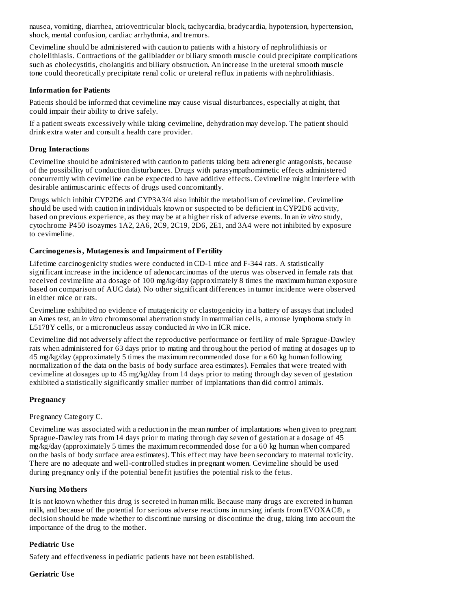nausea, vomiting, diarrhea, atrioventricular block, tachycardia, bradycardia, hypotension, hypertension, shock, mental confusion, cardiac arrhythmia, and tremors.

Cevimeline should be administered with caution to patients with a history of nephrolithiasis or cholelithiasis. Contractions of the gallbladder or biliary smooth muscle could precipitate complications such as cholecystitis, cholangitis and biliary obstruction. An increase in the ureteral smooth muscle tone could theoretically precipitate renal colic or ureteral reflux in patients with nephrolithiasis.

## **Information for Patients**

Patients should be informed that cevimeline may cause visual disturbances, especially at night, that could impair their ability to drive safely.

If a patient sweats excessively while taking cevimeline, dehydration may develop. The patient should drink extra water and consult a health care provider.

## **Drug Interactions**

Cevimeline should be administered with caution to patients taking beta adrenergic antagonists, because of the possibility of conduction disturbances. Drugs with parasympathomimetic effects administered concurrently with cevimeline can be expected to have additive effects. Cevimeline might interfere with desirable antimuscarinic effects of drugs used concomitantly.

Drugs which inhibit CYP2D6 and CYP3A3/4 also inhibit the metabolism of cevimeline. Cevimeline should be used with caution in individuals known or suspected to be deficient in CYP2D6 activity, based on previous experience, as they may be at a higher risk of adverse events. In an *in vitro* study, cytochrome P450 isozymes 1A2, 2A6, 2C9, 2C19, 2D6, 2E1, and 3A4 were not inhibited by exposure to cevimeline.

# **Carcinogenesis, Mutagenesis and Impairment of Fertility**

Lifetime carcinogenicity studies were conducted in CD-1 mice and F-344 rats. A statistically significant increase in the incidence of adenocarcinomas of the uterus was observed in female rats that received cevimeline at a dosage of 100 mg/kg/day (approximately 8 times the maximum human exposure based on comparison of AUC data). No other significant differences in tumor incidence were observed in either mice or rats.

Cevimeline exhibited no evidence of mutagenicity or clastogenicity in a battery of assays that included an Ames test, an *in vitro* chromosomal aberration study in mammalian cells, a mouse lymphoma study in L5178Y cells, or a micronucleus assay conducted *in vivo* in ICR mice.

Cevimeline did not adversely affect the reproductive performance or fertility of male Sprague-Dawley rats when administered for 63 days prior to mating and throughout the period of mating at dosages up to 45 mg/kg/day (approximately 5 times the maximum recommended dose for a 60 kg human following normalization of the data on the basis of body surface area estimates). Females that were treated with cevimeline at dosages up to 45 mg/kg/day from 14 days prior to mating through day seven of gestation exhibited a statistically significantly smaller number of implantations than did control animals.

# **Pregnancy**

# Pregnancy Category C.

Cevimeline was associated with a reduction in the mean number of implantations when given to pregnant Sprague-Dawley rats from 14 days prior to mating through day seven of gestation at a dosage of 45 mg/kg/day (approximately 5 times the maximum recommended dose for a 60 kg human when compared on the basis of body surface area estimates). This effect may have been secondary to maternal toxicity. There are no adequate and well-controlled studies in pregnant women. Cevimeline should be used during pregnancy only if the potential benefit justifies the potential risk to the fetus.

# **Nursing Mothers**

It is not known whether this drug is secreted in human milk. Because many drugs are excreted in human milk, and because of the potential for serious adverse reactions in nursing infants from EVOXAC®, a decision should be made whether to discontinue nursing or discontinue the drug, taking into account the importance of the drug to the mother.

#### **Pediatric Us e**

Safety and effectiveness in pediatric patients have not been established.

#### **Geriatric Us e**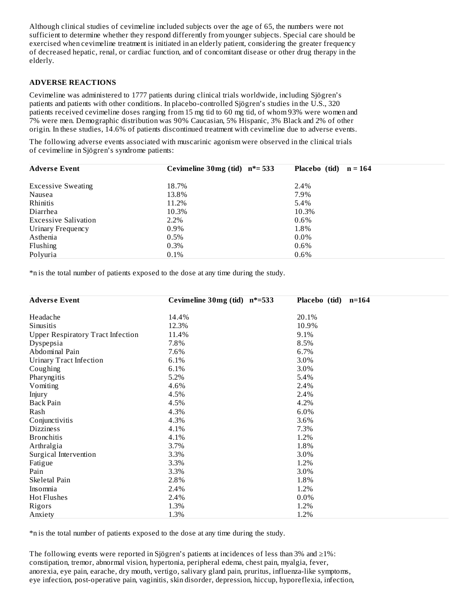Although clinical studies of cevimeline included subjects over the age of 65, the numbers were not sufficient to determine whether they respond differently from younger subjects. Special care should be exercised when cevimeline treatment is initiated in an elderly patient, considering the greater frequency of decreased hepatic, renal, or cardiac function, and of concomitant disease or other drug therapy in the elderly.

# **ADVERSE REACTIONS**

Cevimeline was administered to 1777 patients during clinical trials worldwide, including Sjögren's patients and patients with other conditions. In placebo-controlled Sjögren's studies in the U.S., 320 patients received cevimeline doses ranging from 15 mg tid to 60 mg tid, of whom 93% were women and 7% were men. Demographic distribution was 90% Caucasian, 5% Hispanic, 3% Black and 2% of other origin. In these studies, 14.6% of patients discontinued treatment with cevimeline due to adverse events.

The following adverse events associated with muscarinic agonism were observed in the clinical trials of cevimeline in Sjögren's syndrome patients:

| <b>Adverse Event</b>        | Cevimeline 30mg (tid) $n* = 533$ | Placebo (tid)<br>$n = 164$ |
|-----------------------------|----------------------------------|----------------------------|
| <b>Excessive Sweating</b>   | 18.7%                            | 2.4%                       |
| Nausea                      | 13.8%                            | 7.9%                       |
| Rhinitis                    | 11.2%                            | 5.4%                       |
| Diarrhea                    | 10.3%                            | 10.3%                      |
| <b>Excessive Salivation</b> | 2.2%                             | $0.6\%$                    |
| Urinary Frequency           | 0.9%                             | 1.8%                       |
| Asthenia                    | $0.5\%$                          | $0.0\%$                    |
| Flushing                    | 0.3%                             | $0.6\%$                    |
| Polyuria                    | 0.1%                             | $0.6\%$                    |

\*n is the total number of patients exposed to the dose at any time during the study.

| <b>Adverse Event</b>                     | Cevimeline 30mg (tid) n*=533 | Placebo (tid)<br>$n = 164$ |
|------------------------------------------|------------------------------|----------------------------|
| Headache                                 | 14.4%                        | 20.1%                      |
| Sinusitis                                | 12.3%                        | 10.9%                      |
| <b>Upper Respiratory Tract Infection</b> | 11.4%                        | 9.1%                       |
| Dyspepsia                                | 7.8%                         | 8.5%                       |
| Abdominal Pain                           | 7.6%                         | 6.7%                       |
| <b>Urinary Tract Infection</b>           | 6.1%                         | 3.0%                       |
| Coughing                                 | 6.1%                         | 3.0%                       |
| Pharyngitis                              | 5.2%                         | 5.4%                       |
| Vomiting                                 | 4.6%                         | 2.4%                       |
| Injury                                   | 4.5%                         | 2.4%                       |
| <b>Back Pain</b>                         | 4.5%                         | 4.2%                       |
| Rash                                     | 4.3%                         | 6.0%                       |
| Conjunctivitis                           | 4.3%                         | 3.6%                       |
| <b>Dizziness</b>                         | 4.1%                         | 7.3%                       |
| <b>Bronchitis</b>                        | 4.1%                         | 1.2%                       |
| Arthralgia                               | 3.7%                         | 1.8%                       |
| Surgical Intervention                    | 3.3%                         | 3.0%                       |
| Fatigue                                  | 3.3%                         | 1.2%                       |
| Pain                                     | 3.3%                         | 3.0%                       |
| Skeletal Pain                            | 2.8%                         | 1.8%                       |
| Insomnia                                 | 2.4%                         | 1.2%                       |
| <b>Hot Flushes</b>                       | 2.4%                         | 0.0%                       |
| Rigors                                   | 1.3%                         | 1.2%                       |
| Anxiety                                  | 1.3%                         | 1.2%                       |

\*n is the total number of patients exposed to the dose at any time during the study.

The following events were reported in Sjögren's patients at incidences of less than 3% and ≥1%: constipation, tremor, abnormal vision, hypertonia, peripheral edema, chest pain, myalgia, fever, anorexia, eye pain, earache, dry mouth, vertigo, salivary gland pain, pruritus, influenza-like symptoms, eye infection, post-operative pain, vaginitis, skin disorder, depression, hiccup, hyporeflexia, infection,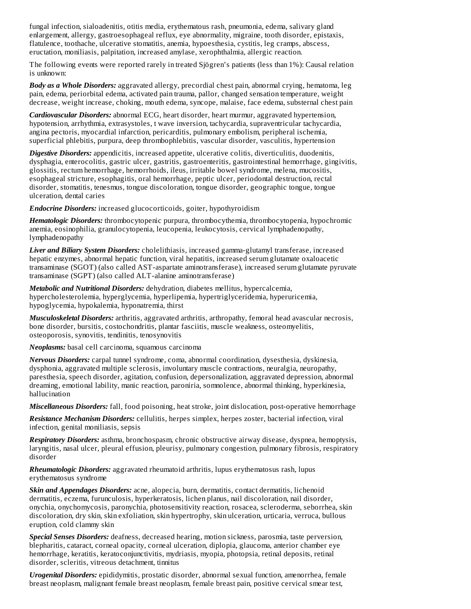fungal infection, sialoadenitis, otitis media, erythematous rash, pneumonia, edema, salivary gland enlargement, allergy, gastroesophageal reflux, eye abnormality, migraine, tooth disorder, epistaxis, flatulence, toothache, ulcerative stomatitis, anemia, hypoesthesia, cystitis, leg cramps, abscess, eructation, moniliasis, palpitation, increased amylase, xerophthalmia, allergic reaction.

The following events were reported rarely in treated Sjögren's patients (less than 1%): Causal relation is unknown:

*Body as a Whole Disorders:* aggravated allergy, precordial chest pain, abnormal crying, hematoma, leg pain, edema, periorbital edema, activated pain trauma, pallor, changed sensation temperature, weight decrease, weight increase, choking, mouth edema, syncope, malaise, face edema, substernal chest pain

*Cardiovascular Disorders:* abnormal ECG, heart disorder, heart murmur, aggravated hypertension, hypotension, arrhythmia, extrasystoles, t wave inversion, tachycardia, supraventricular tachycardia, angina pectoris, myocardial infarction, pericarditis, pulmonary embolism, peripheral ischemia, superficial phlebitis, purpura, deep thrombophlebitis, vascular disorder, vasculitis, hypertension

*Digestive Disorders:* appendicitis, increased appetite, ulcerative colitis, diverticulitis, duodenitis, dysphagia, enterocolitis, gastric ulcer, gastritis, gastroenteritis, gastrointestinal hemorrhage, gingivitis, glossitis, rectum hemorrhage, hemorrhoids, ileus, irritable bowel syndrome, melena, mucositis, esophageal stricture, esophagitis, oral hemorrhage, peptic ulcer, periodontal destruction, rectal disorder, stomatitis, tenesmus, tongue discoloration, tongue disorder, geographic tongue, tongue ulceration, dental caries

*Endocrine Disorders:* increased glucocorticoids, goiter, hypothyroidism

*Hematologic Disorders:* thrombocytopenic purpura, thrombocythemia, thrombocytopenia, hypochromic anemia, eosinophilia, granulocytopenia, leucopenia, leukocytosis, cervical lymphadenopathy, lymphadenopathy

*Liver and Biliary System Disorders:* cholelithiasis, increased gamma-glutamyl transferase, increased hepatic enzymes, abnormal hepatic function, viral hepatitis, increased serum glutamate oxaloacetic transaminase (SGOT) (also called AST-aspartate aminotransferase), increased serum glutamate pyruvate transaminase (SGPT) (also called ALT-alanine aminotransferase)

*Metabolic and Nutritional Disorders:* dehydration, diabetes mellitus, hypercalcemia, hypercholesterolemia, hyperglycemia, hyperlipemia, hypertriglyceridemia, hyperuricemia, hypoglycemia, hypokalemia, hyponatremia, thirst

*Musculoskeletal Disorders:* arthritis, aggravated arthritis, arthropathy, femoral head avascular necrosis, bone disorder, bursitis, costochondritis, plantar fasciitis, muscle weakness, osteomyelitis, osteoporosis, synovitis, tendinitis, tenosynovitis

*Neoplasms:* basal cell carcinoma, squamous carcinoma

*Nervous Disorders:* carpal tunnel syndrome, coma, abnormal coordination, dysesthesia, dyskinesia, dysphonia, aggravated multiple sclerosis, involuntary muscle contractions, neuralgia, neuropathy, paresthesia, speech disorder, agitation, confusion, depersonalization, aggravated depression, abnormal dreaming, emotional lability, manic reaction, paroniria, somnolence, abnormal thinking, hyperkinesia, hallucination

*Miscellaneous Disorders:* fall, food poisoning, heat stroke, joint dislocation, post-operative hemorrhage

*Resistance Mechanism Disorders:* cellulitis, herpes simplex, herpes zoster, bacterial infection, viral infection, genital moniliasis, sepsis

*Respiratory Disorders:* asthma, bronchospasm, chronic obstructive airway disease, dyspnea, hemoptysis, laryngitis, nasal ulcer, pleural effusion, pleurisy, pulmonary congestion, pulmonary fibrosis, respiratory disorder

*Rheumatologic Disorders:* aggravated rheumatoid arthritis, lupus erythematosus rash, lupus erythematosus syndrome

*Skin and Appendages Disorders:* acne, alopecia, burn, dermatitis, contact dermatitis, lichenoid dermatitis, eczema, furunculosis, hyperkeratosis, lichen planus, nail discoloration, nail disorder, onychia, onychomycosis, paronychia, photosensitivity reaction, rosacea, scleroderma, seborrhea, skin discoloration, dry skin, skin exfoliation, skin hypertrophy, skin ulceration, urticaria, verruca, bullous eruption, cold clammy skin

*Special Senses Disorders:* deafness, decreased hearing, motion sickness, parosmia, taste perversion, blepharitis, cataract, corneal opacity, corneal ulceration, diplopia, glaucoma, anterior chamber eye hemorrhage, keratitis, keratoconjunctivitis, mydriasis, myopia, photopsia, retinal deposits, retinal disorder, scleritis, vitreous detachment, tinnitus

*Urogenital Disorders:* epididymitis, prostatic disorder, abnormal sexual function, amenorrhea, female breast neoplasm, malignant female breast neoplasm, female breast pain, positive cervical smear test,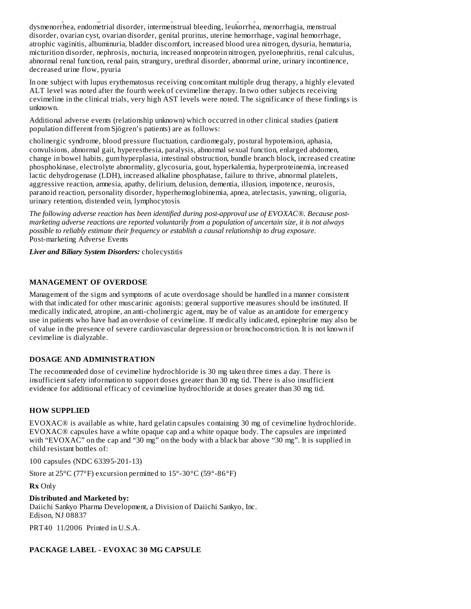breast neoplasm, malignant female breast neoplasm, female breast pain, positive cervical smear test, dysmenorrhea, endometrial disorder, intermenstrual bleeding, leukorrhea, menorrhagia, menstrual disorder, ovarian cyst, ovarian disorder, genital pruritus, uterine hemorrhage, vaginal hemorrhage, atrophic vaginitis, albuminuria, bladder discomfort, increased blood urea nitrogen, dysuria, hematuria, micturition disorder, nephrosis, nocturia, increased nonprotein nitrogen, pyelonephritis, renal calculus, abnormal renal function, renal pain, strangury, urethral disorder, abnormal urine, urinary incontinence, decreased urine flow, pyuria

In one subject with lupus erythematosus receiving concomitant multiple drug therapy, a highly elevated ALT level was noted after the fourth week of cevimeline therapy. In two other subjects receiving cevimeline in the clinical trials, very high AST levels were noted. The significance of these findings is unknown.

Additional adverse events (relationship unknown) which occurred in other clinical studies (patient population different from Sjögren's patients) are as follows:

cholinergic syndrome, blood pressure fluctuation, cardiomegaly, postural hypotension, aphasia, convulsions, abnormal gait, hyperesthesia, paralysis, abnormal sexual function, enlarged abdomen, change in bowel habits, gum hyperplasia, intestinal obstruction, bundle branch block, increased creatine phosphokinase, electrolyte abnormality, glycosuria, gout, hyperkalemia, hyperproteinemia, increased lactic dehydrogenase (LDH), increased alkaline phosphatase, failure to thrive, abnormal platelets, aggressive reaction, amnesia, apathy, delirium, delusion, dementia, illusion, impotence, neurosis, paranoid reaction, personality disorder, hyperhemoglobinemia, apnea, atelectasis, yawning, oliguria, urinary retention, distended vein, lymphocytosis

*The following adverse reaction has been identified during post-approval use of EVOXAC®. Because postmarketing adverse reactions are reported voluntarily from a population of uncertain size, it is not always possible to reliably estimate their frequency or establish a causal relationship to drug exposure.* Post-marketing Adverse Events

*Liver and Biliary System Disorders:* cholecystitis

## **MANAGEMENT OF OVERDOSE**

Management of the signs and symptoms of acute overdosage should be handled in a manner consistent with that indicated for other muscarinic agonists: general supportive measures should be instituted. If medically indicated, atropine, an anti-cholinergic agent, may be of value as an antidote for emergency use in patients who have had an overdose of cevimeline. If medically indicated, epinephrine may also be of value in the presence of severe cardiovascular depression or bronchoconstriction. It is not known if cevimeline is dialyzable.

#### **DOSAGE AND ADMINISTRATION**

The recommended dose of cevimeline hydrochloride is 30 mg taken three times a day. There is insufficient safety information to support doses greater than 30 mg tid. There is also insufficient evidence for additional efficacy of cevimeline hydrochloride at doses greater than 30 mg tid.

# **HOW SUPPLIED**

EVOXAC® is available as white, hard gelatin capsules containing 30 mg of cevimeline hydrochloride. EVOXAC® capsules have a white opaque cap and a white opaque body. The capsules are imprinted with "EVOXAC" on the cap and "30 mg" on the body with a black bar above "30 mg". It is supplied in child resistant bottles of:

100 capsules (NDC 63395-201-13)

Store at 25°C (77°F) excursion permitted to 15°-30°C (59°-86°F)

**Rx** Only

# **Distributed and Marketed by:**

Daiichi Sankyo Pharma Development, a Division of Daiichi Sankyo, Inc. Edison, NJ 08837

PRT40 11/2006 Printed in U.S.A.

# **PACKAGE LABEL - EVOXAC 30 MG CAPSULE**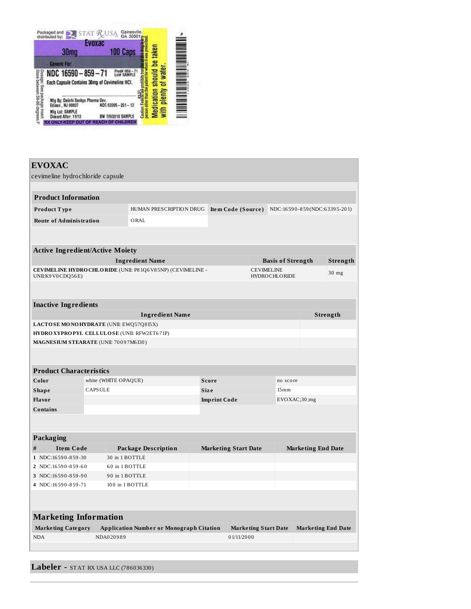|                                            | Evoxac                                                                       |                                                   |
|--------------------------------------------|------------------------------------------------------------------------------|---------------------------------------------------|
| 30 <sub>mq</sub>                           | 100 Caps                                                                     | taken                                             |
| Generic For:                               |                                                                              | ed                                                |
| NDC 16590-859-71                           | Prod# 859-71<br>Lot# SAMPLE<br>Each Capsule Contains 30mg of Cevimeline HCI. | water<br>should<br>后<br>Medication<br>with plenty |
| Mfg By: Dailchi Sankyo Pharma Dev.         |                                                                              |                                                   |
| Edison, NJ 08837<br><b>Mig Lot: SAMPLE</b> | NDC 63395-201-13                                                             |                                                   |

# **EVOXAC**

| L V VARU                                                                        |                      |                                                 |              |                                           |                              |                             |                           |                           |
|---------------------------------------------------------------------------------|----------------------|-------------------------------------------------|--------------|-------------------------------------------|------------------------------|-----------------------------|---------------------------|---------------------------|
| cevimeline hydrochloride capsule                                                |                      |                                                 |              |                                           |                              |                             |                           |                           |
|                                                                                 |                      |                                                 |              |                                           |                              |                             |                           |                           |
| <b>Product Information</b>                                                      |                      |                                                 |              |                                           |                              |                             |                           |                           |
| Product Type                                                                    |                      | HUMAN PRESCRIPTION DRUG<br>Item Code (Source)   |              |                                           | NDC:16590-859(NDC:63395-201) |                             |                           |                           |
| <b>Route of Administration</b>                                                  |                      | ORAL                                            |              |                                           |                              |                             |                           |                           |
|                                                                                 |                      |                                                 |              |                                           |                              |                             |                           |                           |
|                                                                                 |                      |                                                 |              |                                           |                              |                             |                           |                           |
| <b>Active Ingredient/Active Moiety</b>                                          |                      |                                                 |              |                                           |                              |                             |                           |                           |
|                                                                                 |                      | <b>Ingredient Name</b>                          |              |                                           |                              | <b>Basis of Strength</b>    |                           | <b>Strength</b>           |
| CEVIMELINE HYDRO CHLORIDE (UNII: P81Q6V85NP) (CEVIMELINE -<br>UNII:K9 V0CDQ56E) |                      |                                                 |              | <b>CEVIMELINE</b><br><b>HYDROCHLORIDE</b> |                              | 30 mg                       |                           |                           |
|                                                                                 |                      |                                                 |              |                                           |                              |                             |                           |                           |
|                                                                                 |                      |                                                 |              |                                           |                              |                             |                           |                           |
| <b>Inactive Ingredients</b>                                                     |                      |                                                 |              |                                           |                              |                             |                           |                           |
| <b>Ingredient Name</b>                                                          |                      |                                                 | Strength     |                                           |                              |                             |                           |                           |
| LACTOSE MONOHYDRATE (UNII: EWQ57Q8I5X)                                          |                      |                                                 |              |                                           |                              |                             |                           |                           |
| HYDROXYPROPYL CELLULOSE (UNII: RFW2ET671P)                                      |                      |                                                 |              |                                           |                              |                             |                           |                           |
| MAGNESIUM STEARATE (UNII: 70097M6I30)                                           |                      |                                                 |              |                                           |                              |                             |                           |                           |
|                                                                                 |                      |                                                 |              |                                           |                              |                             |                           |                           |
|                                                                                 |                      |                                                 |              |                                           |                              |                             |                           |                           |
| <b>Product Characteristics</b>                                                  |                      |                                                 |              |                                           |                              |                             |                           |                           |
| Color                                                                           | white (WHITE OPAQUE) |                                                 | <b>Score</b> |                                           |                              | no score                    |                           |                           |
| <b>Shape</b>                                                                    | CAPSULE              |                                                 | <b>Size</b>  |                                           |                              | 15mm                        |                           |                           |
| Flavor                                                                          |                      |                                                 |              | <b>Imprint Code</b>                       |                              |                             | EVOXAC;30;mg              |                           |
| <b>Contains</b>                                                                 |                      |                                                 |              |                                           |                              |                             |                           |                           |
|                                                                                 |                      |                                                 |              |                                           |                              |                             |                           |                           |
| Packaging                                                                       |                      |                                                 |              |                                           |                              |                             |                           |                           |
| #<br><b>Item Code</b>                                                           |                      | <b>Package Description</b>                      |              | <b>Marketing Start Date</b>               |                              |                             | <b>Marketing End Date</b> |                           |
| 1 NDC:16590-859-30                                                              | 30 in 1 BOTTLE       |                                                 |              |                                           |                              |                             |                           |                           |
| 2 NDC:16590-859-60                                                              |                      | 60 in 1 BOTTLE                                  |              |                                           |                              |                             |                           |                           |
| 3 NDC:16590-859-90                                                              | 90 in 1 BOTTLE       |                                                 |              |                                           |                              |                             |                           |                           |
| 4 NDC:16590-859-71                                                              |                      | 100 in 1 BOTTLE                                 |              |                                           |                              |                             |                           |                           |
|                                                                                 |                      |                                                 |              |                                           |                              |                             |                           |                           |
|                                                                                 |                      |                                                 |              |                                           |                              |                             |                           |                           |
| <b>Marketing Information</b>                                                    |                      |                                                 |              |                                           |                              |                             |                           |                           |
| Marketing Category                                                              |                      | <b>Application Number or Monograph Citation</b> |              |                                           |                              | <b>Marketing Start Date</b> |                           | <b>Marketing End Date</b> |
| <b>NDA</b>                                                                      | NDA020989            |                                                 |              | 01/11/2000                                |                              |                             |                           |                           |
|                                                                                 |                      |                                                 |              |                                           |                              |                             |                           |                           |
|                                                                                 |                      |                                                 |              |                                           |                              |                             |                           |                           |

**Labeler -** ST AT RX USA LLC (786036330)